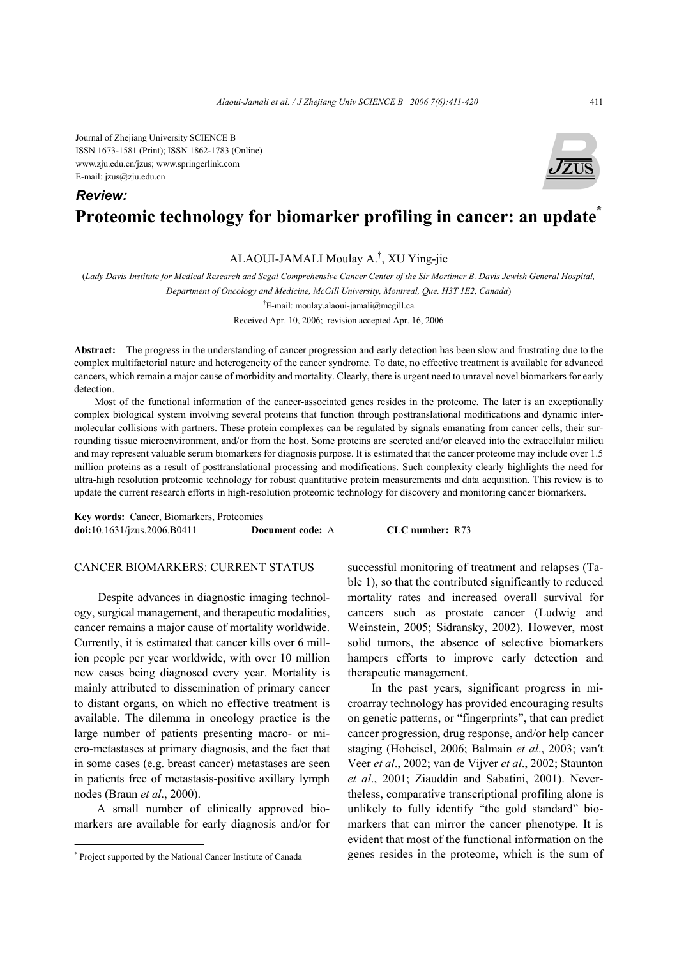Journal of Zhejiang University SCIENCE B ISSN 1673-1581 (Print); ISSN 1862-1783 (Online) www.zju.edu.cn/jzus; www.springerlink.com E-mail: jzus@zju.edu.cn

# **Proteomic technology for biomarker profiling in cancer: an update<sup>\*</sup>** *Review:*

ALAOUI-JAMALI Moulay A.† , XU Ying-jie

(*Lady Davis Institute for Medical Research and Segal Comprehensive Cancer Center of the Sir Mortimer B. Davis Jewish General Hospital, Department of Oncology and Medicine, McGill University, Montreal, Que. H3T 1E2, Canada*) † E-mail: moulay.alaoui-jamali@mcgill.ca Received Apr. 10, 2006; revision accepted Apr. 16, 2006

**Abstract:** The progress in the understanding of cancer progression and early detection has been slow and frustrating due to the complex multifactorial nature and heterogeneity of the cancer syndrome. To date, no effective treatment is available for advanced cancers, which remain a major cause of morbidity and mortality. Clearly, there is urgent need to unravel novel biomarkers for early detection.

Most of the functional information of the cancer-associated genes resides in the proteome. The later is an exceptionally complex biological system involving several proteins that function through posttranslational modifications and dynamic intermolecular collisions with partners. These protein complexes can be regulated by signals emanating from cancer cells, their surrounding tissue microenvironment, and/or from the host. Some proteins are secreted and/or cleaved into the extracellular milieu and may represent valuable serum biomarkers for diagnosis purpose. It is estimated that the cancer proteome may include over 1.5 million proteins as a result of posttranslational processing and modifications. Such complexity clearly highlights the need for ultra-high resolution proteomic technology for robust quantitative protein measurements and data acquisition. This review is to update the current research efforts in high-resolution proteomic technology for discovery and monitoring cancer biomarkers.

**Key words:** Cancer, Biomarkers, Proteomics **doi:**10.1631/jzus.2006.B0411 **Document code:** A **CLC number:** R73

## CANCER BIOMARKERS: CURRENT STATUS

Despite advances in diagnostic imaging technology, surgical management, and therapeutic modalities, cancer remains a major cause of mortality worldwide. Currently, it is estimated that cancer kills over 6 million people per year worldwide, with over 10 million new cases being diagnosed every year. Mortality is mainly attributed to dissemination of primary cancer to distant organs, on which no effective treatment is available. The dilemma in oncology practice is the large number of patients presenting macro- or micro-metastases at primary diagnosis, and the fact that in some cases (e.g. breast cancer) metastases are seen in patients free of metastasis-positive axillary lymph nodes (Braun *et al*., 2000).

A small number of clinically approved biomarkers are available for early diagnosis and/or for successful monitoring of treatment and relapses (Table 1), so that the contributed significantly to reduced mortality rates and increased overall survival for cancers such as prostate cancer (Ludwig and Weinstein, 2005; Sidransky, 2002). However, most solid tumors, the absence of selective biomarkers hampers efforts to improve early detection and therapeutic management.

In the past years, significant progress in microarray technology has provided encouraging results on genetic patterns, or "fingerprints", that can predict cancer progression, drug response, and/or help cancer staging (Hoheisel, 2006; Balmain *et al*., 2003; van′t Veer *et al*., 2002; van de Vijver *et al*., 2002; Staunton *et al*., 2001; Ziauddin and Sabatini, 2001). Nevertheless, comparative transcriptional profiling alone is unlikely to fully identify "the gold standard" biomarkers that can mirror the cancer phenotype. It is evident that most of the functional information on the genes resides in the proteome, which is the sum of



<sup>\*</sup> Project supported by the National Cancer Institute of Canada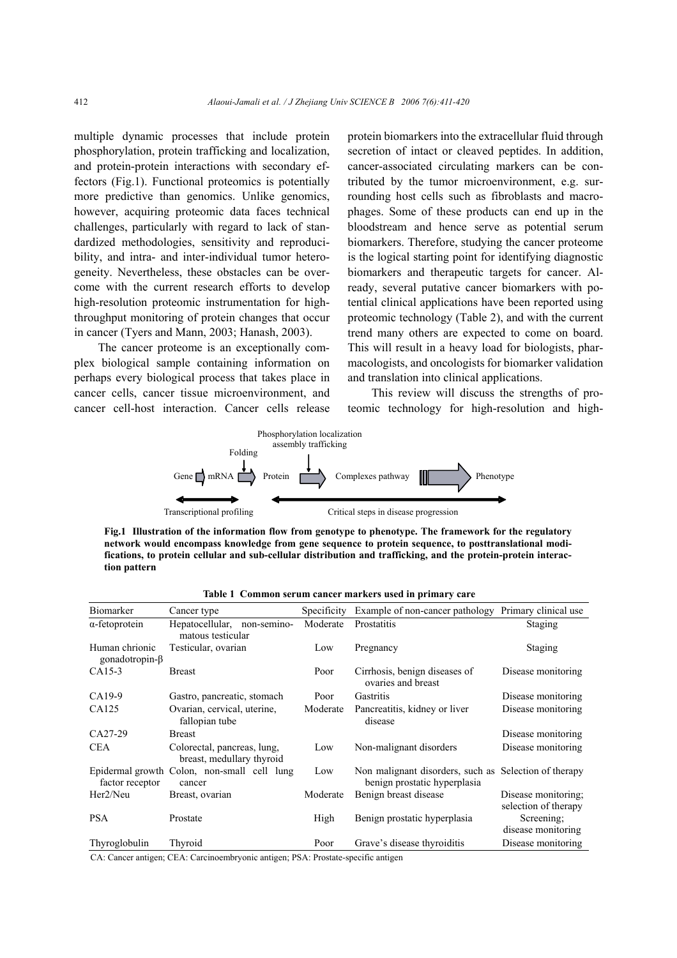multiple dynamic processes that include protein phosphorylation, protein trafficking and localization, and protein-protein interactions with secondary effectors (Fig.1). Functional proteomics is potentially more predictive than genomics. Unlike genomics, however, acquiring proteomic data faces technical challenges, particularly with regard to lack of standardized methodologies, sensitivity and reproducibility, and intra- and inter-individual tumor heterogeneity. Nevertheless, these obstacles can be overcome with the current research efforts to develop high-resolution proteomic instrumentation for highthroughput monitoring of protein changes that occur in cancer (Tyers and Mann, 2003; Hanash, 2003).

The cancer proteome is an exceptionally complex biological sample containing information on perhaps every biological process that takes place in cancer cells, cancer tissue microenvironment, and cancer cell-host interaction. Cancer cells release protein biomarkers into the extracellular fluid through secretion of intact or cleaved peptides. In addition, cancer-associated circulating markers can be contributed by the tumor microenvironment, e.g. surrounding host cells such as fibroblasts and macrophages. Some of these products can end up in the bloodstream and hence serve as potential serum biomarkers. Therefore, studying the cancer proteome is the logical starting point for identifying diagnostic biomarkers and therapeutic targets for cancer. Already, several putative cancer biomarkers with potential clinical applications have been reported using proteomic technology (Table 2), and with the current trend many others are expected to come on board. This will result in a heavy load for biologists, pharmacologists, and oncologists for biomarker validation and translation into clinical applications.

This review will discuss the strengths of proteomic technology for high-resolution and high-



**Fig.1 Illustration of the information flow from genotype to phenotype. The framework for the regulatory network would encompass knowledge from gene sequence to protein sequence, to posttranslational modifications, to protein cellular and sub-cellular distribution and trafficking, and the protein-protein interaction pattern** 

| Biomarker                               | Cancer type                                              | Specificity | Example of non-cancer pathology Primary clinical use                                  |                                             |
|-----------------------------------------|----------------------------------------------------------|-------------|---------------------------------------------------------------------------------------|---------------------------------------------|
| $\alpha$ -fetoprotein                   | Hepatocellular,<br>non-semino-<br>matous testicular      | Moderate    | Prostatitis                                                                           | Staging                                     |
| Human chrionic<br>gonadotropin- $\beta$ | Testicular, ovarian                                      | Low         | Pregnancy                                                                             | Staging                                     |
| CA15-3                                  | <b>Breast</b>                                            | Poor        | Cirrhosis, benign diseases of<br>ovaries and breast                                   | Disease monitoring                          |
| CA19-9                                  | Gastro, pancreatic, stomach                              | Poor        | <b>Gastritis</b>                                                                      | Disease monitoring                          |
| CA125                                   | Ovarian, cervical, uterine,<br>fallopian tube            | Moderate    | Pancreatitis, kidney or liver<br>disease                                              | Disease monitoring                          |
| CA27-29                                 | <b>Breast</b>                                            |             |                                                                                       | Disease monitoring                          |
| <b>CEA</b>                              | Colorectal, pancreas, lung,<br>breast, medullary thyroid | Low         | Non-malignant disorders                                                               | Disease monitoring                          |
| factor receptor                         | Epidermal growth Colon, non-small cell lung<br>cancer    | Low         | Non malignant disorders, such as Selection of therapy<br>benign prostatic hyperplasia |                                             |
| Her2/Neu                                | Breast, ovarian                                          | Moderate    | Benign breast disease                                                                 | Disease monitoring;<br>selection of therapy |
| <b>PSA</b>                              | Prostate                                                 | High        | Benign prostatic hyperplasia                                                          | Screening:<br>disease monitoring            |
| Thyroglobulin                           | Thyroid                                                  | Poor        | Grave's disease thyroiditis                                                           | Disease monitoring                          |

**Table 1 Common serum cancer markers used in primary care** 

CA: Cancer antigen; CEA: Carcinoembryonic antigen; PSA: Prostate-specific antigen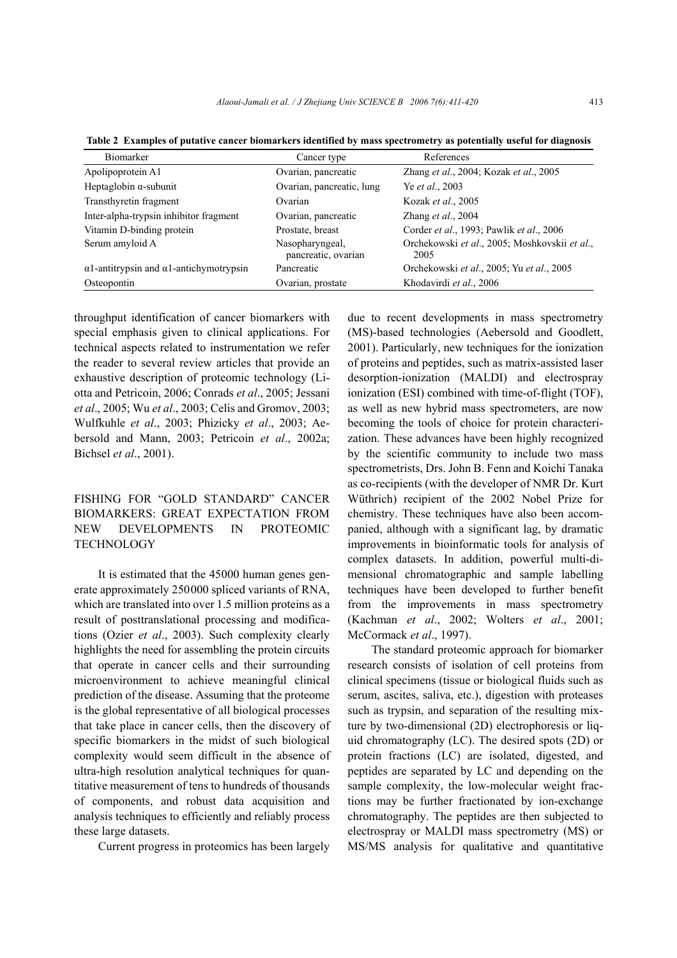| <b>Biomarker</b>                                       | Cancer type                            | References                                            |
|--------------------------------------------------------|----------------------------------------|-------------------------------------------------------|
| Apolipoprotein A1                                      | Ovarian, pancreatic                    | Zhang et al., 2004; Kozak et al., 2005                |
| Heptaglobin $\alpha$ -subunit                          | Ovarian, pancreatic, lung              | Ye et al., 2003                                       |
| Transthyretin fragment                                 | Ovarian                                | Kozak et al., 2005                                    |
| Inter-alpha-trypsin inhibitor fragment                 | Ovarian, pancreatic                    | Zhang et al., $2004$                                  |
| Vitamin D-binding protein                              | Prostate, breast                       | Corder et al., 1993; Pawlik et al., 2006              |
| Serum amyloid A                                        | Nasopharyngeal,<br>pancreatic, ovarian | Orchekowski et al., 2005; Moshkovskii et al.,<br>2005 |
| $\alpha$ 1-antitrypsin and $\alpha$ 1-antichymotrypsin | Pancreatic                             | Orchekowski et al., 2005; Yu et al., 2005             |
| Osteopontin                                            | Ovarian, prostate                      | Khodavirdi et al., 2006                               |

**Table 2 Examples of putative cancer biomarkers identified by mass spectrometry as potentially useful for diagnosis** 

throughput identification of cancer biomarkers with special emphasis given to clinical applications. For technical aspects related to instrumentation we refer the reader to several review articles that provide an exhaustive description of proteomic technology (Liotta and Petricoin, 2006; Conrads *et al*., 2005; Jessani *et al*., 2005; Wu *et al*., 2003; Celis and Gromov, 2003; Wulfkuhle *et al*., 2003; Phizicky *et al*., 2003; Aebersold and Mann, 2003; Petricoin *et al*., 2002a; Bichsel *et al*., 2001).

# FISHING FOR "GOLD STANDARD" CANCER BIOMARKERS: GREAT EXPECTATION FROM NEW DEVELOPMENTS IN PROTEOMIC **TECHNOLOGY**

It is estimated that the 45000 human genes generate approximately 250000 spliced variants of RNA, which are translated into over 1.5 million proteins as a result of posttranslational processing and modifications (Ozier *et al*., 2003). Such complexity clearly highlights the need for assembling the protein circuits that operate in cancer cells and their surrounding microenvironment to achieve meaningful clinical prediction of the disease. Assuming that the proteome is the global representative of all biological processes that take place in cancer cells, then the discovery of specific biomarkers in the midst of such biological complexity would seem difficult in the absence of ultra-high resolution analytical techniques for quantitative measurement of tens to hundreds of thousands of components, and robust data acquisition and analysis techniques to efficiently and reliably process these large datasets.

Current progress in proteomics has been largely

due to recent developments in mass spectrometry (MS)-based technologies (Aebersold and Goodlett, 2001). Particularly, new techniques for the ionization of proteins and peptides, such as matrix-assisted laser desorption-ionization (MALDI) and electrospray ionization (ESI) combined with time-of-flight (TOF), as well as new hybrid mass spectrometers, are now becoming the tools of choice for protein characterization. These advances have been highly recognized by the scientific community to include two mass spectrometrists, Drs. John B. Fenn and Koichi Tanaka as co-recipients (with the developer of NMR Dr. Kurt Wüthrich) recipient of the 2002 Nobel Prize for chemistry. These techniques have also been accompanied, although with a significant lag, by dramatic improvements in bioinformatic tools for analysis of complex datasets. In addition, powerful multi-dimensional chromatographic and sample labelling techniques have been developed to further benefit from the improvements in mass spectrometry (Kachman *et al*., 2002; Wolters *et al*., 2001; McCormack *et al*., 1997).

The standard proteomic approach for biomarker research consists of isolation of cell proteins from clinical specimens (tissue or biological fluids such as serum, ascites, saliva, etc.), digestion with proteases such as trypsin, and separation of the resulting mixture by two-dimensional (2D) electrophoresis or liquid chromatography (LC). The desired spots (2D) or protein fractions (LC) are isolated, digested, and peptides are separated by LC and depending on the sample complexity, the low-molecular weight fractions may be further fractionated by ion-exchange chromatography. The peptides are then subjected to electrospray or MALDI mass spectrometry (MS) or MS/MS analysis for qualitative and quantitative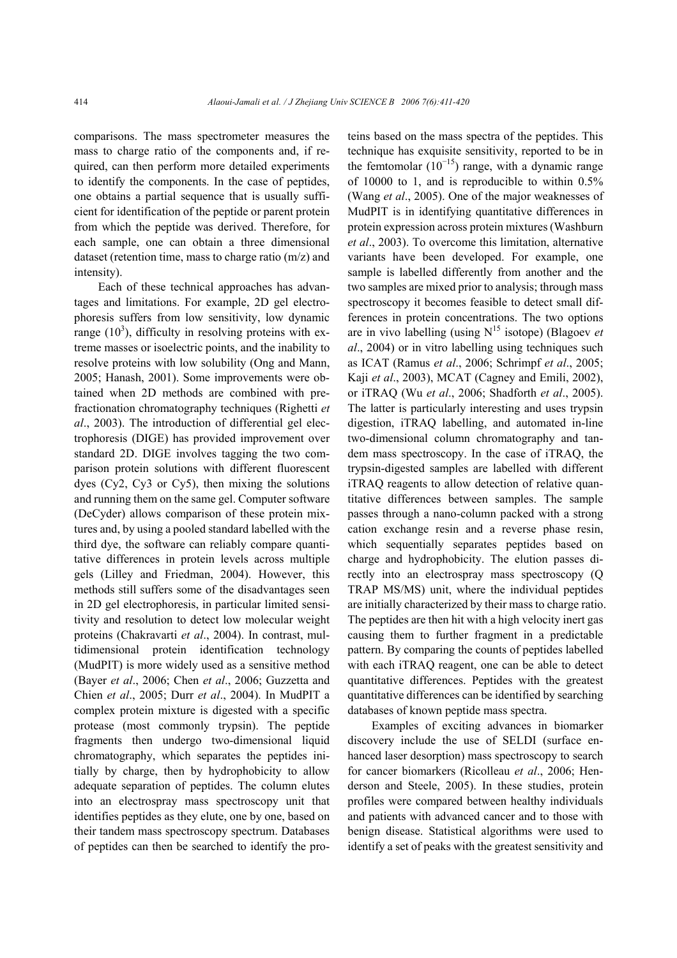comparisons. The mass spectrometer measures the mass to charge ratio of the components and, if required, can then perform more detailed experiments to identify the components. In the case of peptides, one obtains a partial sequence that is usually sufficient for identification of the peptide or parent protein from which the peptide was derived. Therefore, for each sample, one can obtain a three dimensional dataset (retention time, mass to charge ratio (m/z) and intensity).

Each of these technical approaches has advantages and limitations. For example, 2D gel electrophoresis suffers from low sensitivity, low dynamic range  $(10^3)$ , difficulty in resolving proteins with extreme masses or isoelectric points, and the inability to resolve proteins with low solubility (Ong and Mann, 2005; Hanash, 2001). Some improvements were obtained when 2D methods are combined with prefractionation chromatography techniques (Righetti *et al*., 2003). The introduction of differential gel electrophoresis (DIGE) has provided improvement over standard 2D. DIGE involves tagging the two comparison protein solutions with different fluorescent dyes (Cy2, Cy3 or Cy5), then mixing the solutions and running them on the same gel. Computer software (DeCyder) allows comparison of these protein mixtures and, by using a pooled standard labelled with the third dye, the software can reliably compare quantitative differences in protein levels across multiple gels (Lilley and Friedman, 2004). However, this methods still suffers some of the disadvantages seen in 2D gel electrophoresis, in particular limited sensitivity and resolution to detect low molecular weight proteins (Chakravarti *et al*., 2004). In contrast, multidimensional protein identification technology (MudPIT) is more widely used as a sensitive method (Bayer *et al*., 2006; Chen *et al*., 2006; Guzzetta and Chien *et al*., 2005; Durr *et al*., 2004). In MudPIT a complex protein mixture is digested with a specific protease (most commonly trypsin). The peptide fragments then undergo two-dimensional liquid chromatography, which separates the peptides initially by charge, then by hydrophobicity to allow adequate separation of peptides. The column elutes into an electrospray mass spectroscopy unit that identifies peptides as they elute, one by one, based on their tandem mass spectroscopy spectrum. Databases of peptides can then be searched to identify the proteins based on the mass spectra of the peptides. This technique has exquisite sensitivity, reported to be in the femtomolar  $(10^{-15})$  range, with a dynamic range of 10000 to 1, and is reproducible to within 0.5% (Wang *et al*., 2005). One of the major weaknesses of MudPIT is in identifying quantitative differences in protein expression across protein mixtures (Washburn *et al*., 2003). To overcome this limitation, alternative variants have been developed. For example, one sample is labelled differently from another and the two samples are mixed prior to analysis; through mass spectroscopy it becomes feasible to detect small differences in protein concentrations. The two options are in vivo labelling (using  $N^{15}$  isotope) (Blagoev *et al*., 2004) or in vitro labelling using techniques such as ICAT (Ramus *et al*., 2006; Schrimpf *et al*., 2005; Kaji *et al*., 2003), MCAT (Cagney and Emili, 2002), or iTRAQ (Wu *et al*., 2006; Shadforth *et al*., 2005). The latter is particularly interesting and uses trypsin digestion, iTRAQ labelling, and automated in-line two-dimensional column chromatography and tandem mass spectroscopy. In the case of iTRAQ, the trypsin-digested samples are labelled with different iTRAQ reagents to allow detection of relative quantitative differences between samples. The sample passes through a nano-column packed with a strong cation exchange resin and a reverse phase resin, which sequentially separates peptides based on charge and hydrophobicity. The elution passes directly into an electrospray mass spectroscopy (Q TRAP MS/MS) unit, where the individual peptides are initially characterized by their mass to charge ratio. The peptides are then hit with a high velocity inert gas causing them to further fragment in a predictable pattern. By comparing the counts of peptides labelled with each iTRAQ reagent, one can be able to detect quantitative differences. Peptides with the greatest quantitative differences can be identified by searching databases of known peptide mass spectra.

Examples of exciting advances in biomarker discovery include the use of SELDI (surface enhanced laser desorption) mass spectroscopy to search for cancer biomarkers (Ricolleau *et al*., 2006; Henderson and Steele, 2005). In these studies, protein profiles were compared between healthy individuals and patients with advanced cancer and to those with benign disease. Statistical algorithms were used to identify a set of peaks with the greatest sensitivity and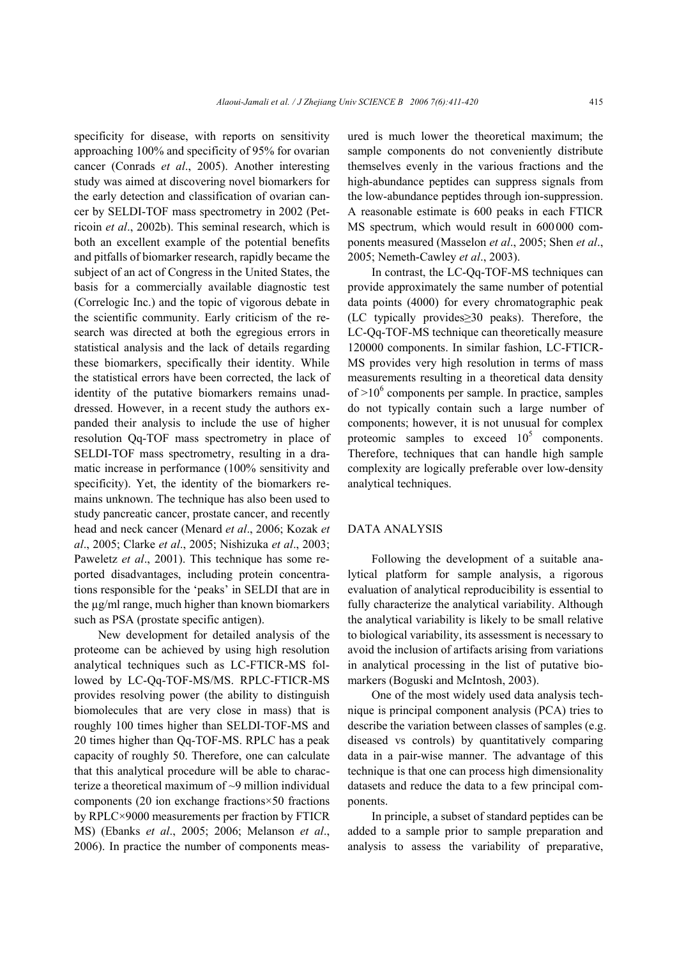specificity for disease, with reports on sensitivity approaching 100% and specificity of 95% for ovarian cancer (Conrads *et al*., 2005). Another interesting study was aimed at discovering novel biomarkers for the early detection and classification of ovarian cancer by SELDI-TOF mass spectrometry in 2002 (Petricoin *et al*., 2002b). This seminal research, which is both an excellent example of the potential benefits and pitfalls of biomarker research, rapidly became the subject of an act of Congress in the United States, the basis for a commercially available diagnostic test (Correlogic Inc.) and the topic of vigorous debate in the scientific community. Early criticism of the research was directed at both the egregious errors in statistical analysis and the lack of details regarding these biomarkers, specifically their identity. While the statistical errors have been corrected, the lack of identity of the putative biomarkers remains unaddressed. However, in a recent study the authors expanded their analysis to include the use of higher resolution Qq-TOF mass spectrometry in place of SELDI-TOF mass spectrometry, resulting in a dramatic increase in performance (100% sensitivity and specificity). Yet, the identity of the biomarkers remains unknown. The technique has also been used to study pancreatic cancer, prostate cancer, and recently head and neck cancer (Menard *et al*., 2006; Kozak *et al*., 2005; Clarke *et al*., 2005; Nishizuka *et al*., 2003; Paweletz *et al*., 2001). This technique has some reported disadvantages, including protein concentrations responsible for the 'peaks' in SELDI that are in the µg/ml range, much higher than known biomarkers such as PSA (prostate specific antigen).

New development for detailed analysis of the proteome can be achieved by using high resolution analytical techniques such as LC-FTICR-MS followed by LC-Qq-TOF-MS/MS. RPLC-FTICR-MS provides resolving power (the ability to distinguish biomolecules that are very close in mass) that is roughly 100 times higher than SELDI-TOF-MS and 20 times higher than Qq-TOF-MS. RPLC has a peak capacity of roughly 50. Therefore, one can calculate that this analytical procedure will be able to characterize a theoretical maximum of ~9 million individual components (20 ion exchange fractions×50 fractions by RPLC×9000 measurements per fraction by FTICR MS) (Ebanks *et al*., 2005; 2006; Melanson *et al*., 2006). In practice the number of components measured is much lower the theoretical maximum; the sample components do not conveniently distribute themselves evenly in the various fractions and the high-abundance peptides can suppress signals from the low-abundance peptides through ion-suppression. A reasonable estimate is 600 peaks in each FTICR MS spectrum, which would result in 600000 components measured (Masselon *et al*., 2005; Shen *et al*., 2005; Nemeth-Cawley *et al*., 2003).

In contrast, the LC-Qq-TOF-MS techniques can provide approximately the same number of potential data points (4000) for every chromatographic peak (LC typically provides≥30 peaks). Therefore, the LC-Qq-TOF-MS technique can theoretically measure 120000 components. In similar fashion, LC-FTICR-MS provides very high resolution in terms of mass measurements resulting in a theoretical data density of  $>10^6$  components per sample. In practice, samples do not typically contain such a large number of components; however, it is not unusual for complex proteomic samples to exceed  $10^5$  components. Therefore, techniques that can handle high sample complexity are logically preferable over low-density analytical techniques.

#### DATA ANALYSIS

Following the development of a suitable analytical platform for sample analysis, a rigorous evaluation of analytical reproducibility is essential to fully characterize the analytical variability. Although the analytical variability is likely to be small relative to biological variability, its assessment is necessary to avoid the inclusion of artifacts arising from variations in analytical processing in the list of putative biomarkers (Boguski and McIntosh, 2003).

One of the most widely used data analysis technique is principal component analysis (PCA) tries to describe the variation between classes of samples (e.g. diseased vs controls) by quantitatively comparing data in a pair-wise manner. The advantage of this technique is that one can process high dimensionality datasets and reduce the data to a few principal components.

In principle, a subset of standard peptides can be added to a sample prior to sample preparation and analysis to assess the variability of preparative,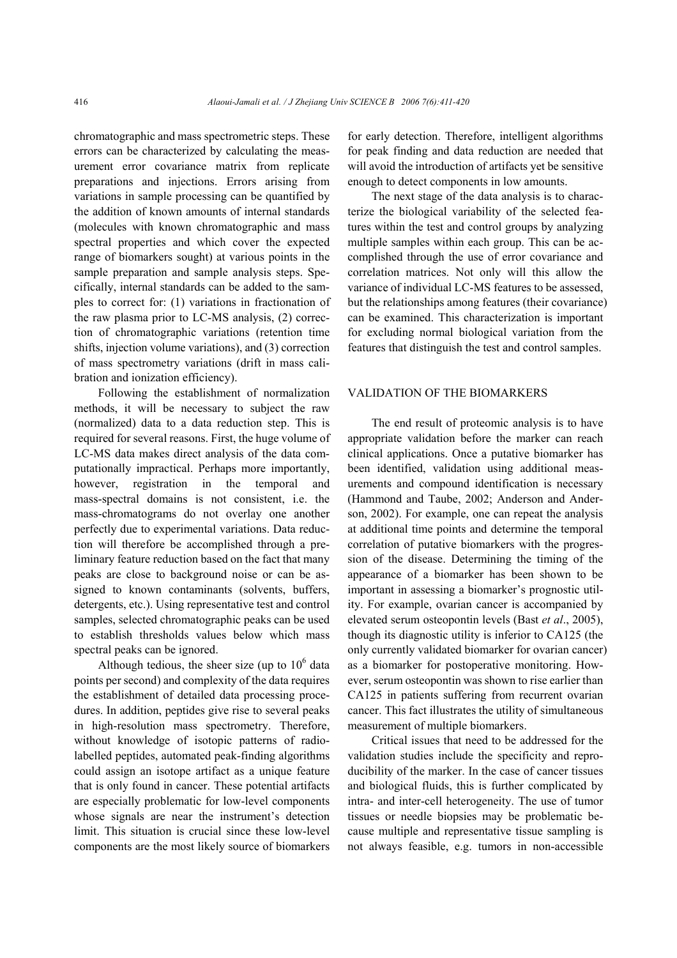chromatographic and mass spectrometric steps. These errors can be characterized by calculating the measurement error covariance matrix from replicate preparations and injections. Errors arising from variations in sample processing can be quantified by the addition of known amounts of internal standards (molecules with known chromatographic and mass spectral properties and which cover the expected range of biomarkers sought) at various points in the sample preparation and sample analysis steps. Specifically, internal standards can be added to the samples to correct for: (1) variations in fractionation of the raw plasma prior to LC-MS analysis, (2) correction of chromatographic variations (retention time shifts, injection volume variations), and (3) correction of mass spectrometry variations (drift in mass calibration and ionization efficiency).

Following the establishment of normalization methods, it will be necessary to subject the raw (normalized) data to a data reduction step. This is required for several reasons. First, the huge volume of LC-MS data makes direct analysis of the data computationally impractical. Perhaps more importantly, however, registration in the temporal and mass-spectral domains is not consistent, i.e. the mass-chromatograms do not overlay one another perfectly due to experimental variations. Data reduction will therefore be accomplished through a preliminary feature reduction based on the fact that many peaks are close to background noise or can be assigned to known contaminants (solvents, buffers, detergents, etc.). Using representative test and control samples, selected chromatographic peaks can be used to establish thresholds values below which mass spectral peaks can be ignored.

Although tedious, the sheer size (up to  $10<sup>6</sup>$  data points per second) and complexity of the data requires the establishment of detailed data processing procedures. In addition, peptides give rise to several peaks in high-resolution mass spectrometry. Therefore, without knowledge of isotopic patterns of radiolabelled peptides, automated peak-finding algorithms could assign an isotope artifact as a unique feature that is only found in cancer. These potential artifacts are especially problematic for low-level components whose signals are near the instrument's detection limit. This situation is crucial since these low-level components are the most likely source of biomarkers

for early detection. Therefore, intelligent algorithms for peak finding and data reduction are needed that will avoid the introduction of artifacts yet be sensitive enough to detect components in low amounts.

The next stage of the data analysis is to characterize the biological variability of the selected features within the test and control groups by analyzing multiple samples within each group. This can be accomplished through the use of error covariance and correlation matrices. Not only will this allow the variance of individual LC-MS features to be assessed, but the relationships among features (their covariance) can be examined. This characterization is important for excluding normal biological variation from the features that distinguish the test and control samples.

#### VALIDATION OF THE BIOMARKERS

The end result of proteomic analysis is to have appropriate validation before the marker can reach clinical applications. Once a putative biomarker has been identified, validation using additional measurements and compound identification is necessary (Hammond and Taube, 2002; Anderson and Anderson, 2002). For example, one can repeat the analysis at additional time points and determine the temporal correlation of putative biomarkers with the progression of the disease. Determining the timing of the appearance of a biomarker has been shown to be important in assessing a biomarker's prognostic utility. For example, ovarian cancer is accompanied by elevated serum osteopontin levels (Bast *et al*., 2005), though its diagnostic utility is inferior to CA125 (the only currently validated biomarker for ovarian cancer) as a biomarker for postoperative monitoring. However, serum osteopontin was shown to rise earlier than CA125 in patients suffering from recurrent ovarian cancer. This fact illustrates the utility of simultaneous measurement of multiple biomarkers.

Critical issues that need to be addressed for the validation studies include the specificity and reproducibility of the marker. In the case of cancer tissues and biological fluids, this is further complicated by intra- and inter-cell heterogeneity. The use of tumor tissues or needle biopsies may be problematic because multiple and representative tissue sampling is not always feasible, e.g. tumors in non-accessible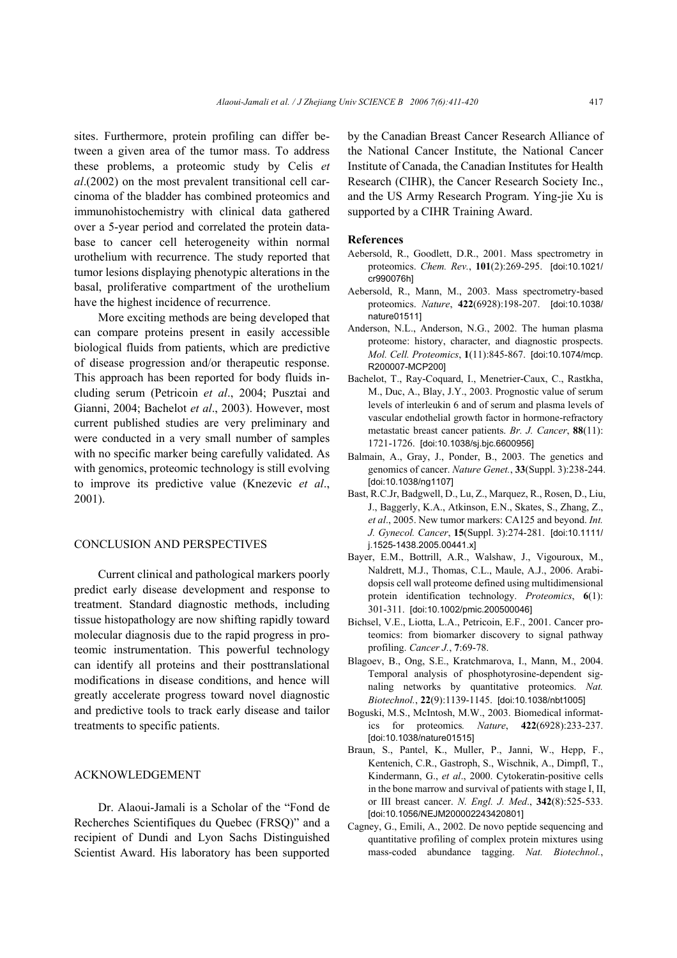sites. Furthermore, protein profiling can differ between a given area of the tumor mass. To address these problems, a proteomic study by Celis *et al*.(2002) on the most prevalent transitional cell carcinoma of the bladder has combined proteomics and immunohistochemistry with clinical data gathered over a 5-year period and correlated the protein database to cancer cell heterogeneity within normal urothelium with recurrence. The study reported that tumor lesions displaying phenotypic alterations in the basal, proliferative compartment of the urothelium have the highest incidence of recurrence.

More exciting methods are being developed that can compare proteins present in easily accessible biological fluids from patients, which are predictive of disease progression and/or therapeutic response. This approach has been reported for body fluids including serum (Petricoin *et al*., 2004; Pusztai and Gianni, 2004; Bachelot *et al*., 2003). However, most current published studies are very preliminary and were conducted in a very small number of samples with no specific marker being carefully validated. As with genomics, proteomic technology is still evolving to improve its predictive value (Knezevic *et al*., 2001).

## CONCLUSION AND PERSPECTIVES

Current clinical and pathological markers poorly predict early disease development and response to treatment. Standard diagnostic methods, including tissue histopathology are now shifting rapidly toward molecular diagnosis due to the rapid progress in proteomic instrumentation. This powerful technology can identify all proteins and their posttranslational modifications in disease conditions, and hence will greatly accelerate progress toward novel diagnostic and predictive tools to track early disease and tailor treatments to specific patients.

#### ACKNOWLEDGEMENT

Dr. Alaoui-Jamali is a Scholar of the "Fond de Recherches Scientifiques du Quebec (FRSQ)" and a recipient of Dundi and Lyon Sachs Distinguished Scientist Award. His laboratory has been supported by the Canadian Breast Cancer Research Alliance of the National Cancer Institute, the National Cancer Institute of Canada, the Canadian Institutes for Health Research (CIHR), the Cancer Research Society Inc., and the US Army Research Program. Ying-jie Xu is supported by a CIHR Training Award.

#### **References**

- Aebersold, R., Goodlett, D.R., 2001. Mass spectrometry in proteomics. *Chem. Rev.*, **101**(2):269-295. [doi:10.1021/ cr990076h]
- Aebersold, R., Mann, M., 2003. Mass spectrometry-based proteomics. *Nature*, **422**(6928):198-207. [doi:10.1038/ nature01511]
- Anderson, N.L., Anderson, N.G., 2002. The human plasma proteome: history, character, and diagnostic prospects. *Mol. Cell. Proteomics*, **1**(11):845-867. [doi:10.1074/mcp. R200007-MCP200]
- Bachelot, T., Ray-Coquard, I., Menetrier-Caux, C., Rastkha, M., Duc, A., Blay, J.Y., 2003. Prognostic value of serum levels of interleukin 6 and of serum and plasma levels of vascular endothelial growth factor in hormone-refractory metastatic breast cancer patients. *Br. J. Cancer*, **88**(11): 1721-1726. [doi:10.1038/sj.bjc.6600956]
- Balmain, A., Gray, J., Ponder, B., 2003. The genetics and genomics of cancer. *Nature Genet.*, **33**(Suppl. 3):238-244. [doi:10.1038/ng1107]
- Bast, R.C.Jr, Badgwell, D., Lu, Z., Marquez, R., Rosen, D., Liu, J., Baggerly, K.A., Atkinson, E.N., Skates, S., Zhang, Z., *et al*., 2005. New tumor markers: CA125 and beyond. *Int. J. Gynecol. Cancer*, **15**(Suppl. 3):274-281. [doi:10.1111/ j.1525-1438.2005.00441.x]
- Bayer, E.M., Bottrill, A.R., Walshaw, J., Vigouroux, M., Naldrett, M.J., Thomas, C.L., Maule, A.J., 2006. Arabidopsis cell wall proteome defined using multidimensional protein identification technology. *Proteomics*, **6**(1): 301-311. [doi:10.1002/pmic.200500046]
- Bichsel, V.E., Liotta, L.A., Petricoin, E.F., 2001. Cancer proteomics: from biomarker discovery to signal pathway profiling. *Cancer J.*, **7**:69-78.
- Blagoev, B., Ong, S.E., Kratchmarova, I., Mann, M., 2004. Temporal analysis of phosphotyrosine-dependent signaling networks by quantitative proteomics. *Nat. Biotechnol.*, **22**(9):1139-1145. [doi:10.1038/nbt1005]
- Boguski, M.S., McIntosh, M.W., 2003. Biomedical informatics for proteomics*. Nature*, **422**(6928):233-237. [doi:10.1038/nature01515]
- Braun, S., Pantel, K., Muller, P., Janni, W., Hepp, F., Kentenich, C.R., Gastroph, S., Wischnik, A., Dimpfl, T., Kindermann, G., *et al*., 2000. Cytokeratin-positive cells in the bone marrow and survival of patients with stage I, II, or III breast cancer. *N. Engl. J. Med*., **342**(8):525-533. [doi:10.1056/NEJM200002243420801]
- Cagney, G., Emili, A., 2002. De novo peptide sequencing and quantitative profiling of complex protein mixtures using mass-coded abundance tagging. *Nat. Biotechnol.*,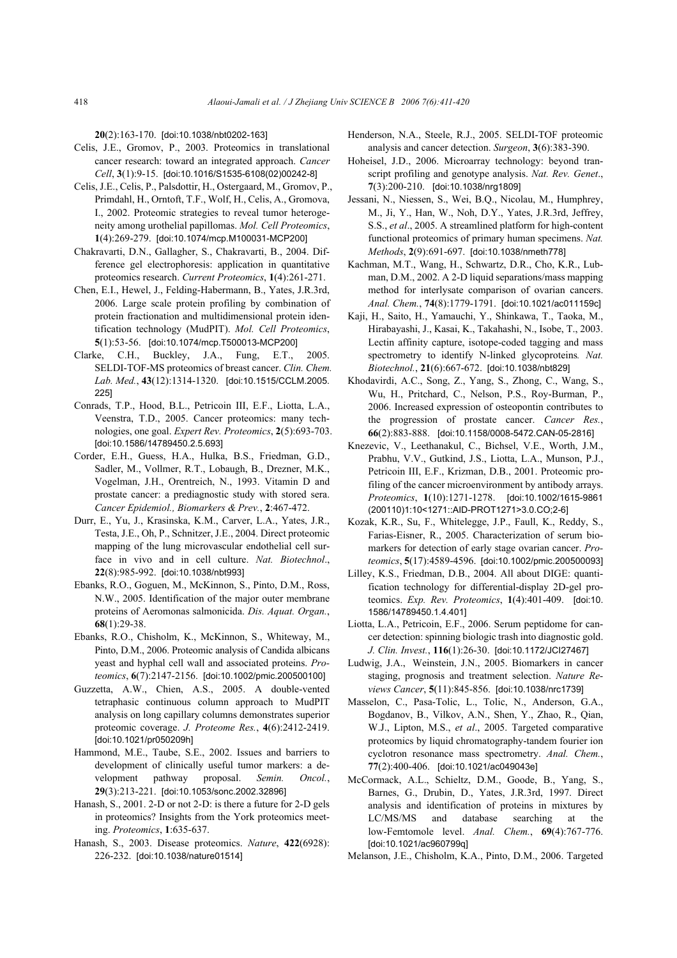**20**(2):163-170. [doi:10.1038/nbt0202-163]

- Celis, J.E., Gromov, P., 2003. Proteomics in translational cancer research: toward an integrated approach. *Cancer Cell*, **3**(1):9-15. [doi:10.1016/S1535-6108(02)00242-8]
- Celis, J.E., Celis, P., Palsdottir, H., Ostergaard, M., Gromov, P., Primdahl, H., Orntoft, T.F., Wolf, H., Celis, A., Gromova, I., 2002. Proteomic strategies to reveal tumor heterogeneity among urothelial papillomas. *Mol. Cell Proteomics*, **1**(4):269-279. [doi:10.1074/mcp.M100031-MCP200]
- Chakravarti, D.N., Gallagher, S., Chakravarti, B., 2004. Difference gel electrophoresis: application in quantitative proteomics research. *Current Proteomics*, **1**(4):261-271.
- Chen, E.I., Hewel, J., Felding-Habermann, B., Yates, J.R.3rd, 2006. Large scale protein profiling by combination of protein fractionation and multidimensional protein identification technology (MudPIT). *Mol. Cell Proteomics*, **5**(1):53-56. [doi:10.1074/mcp.T500013-MCP200]
- Clarke, C.H., Buckley, J.A., Fung, E.T., 2005. SELDI-TOF-MS proteomics of breast cancer. *Clin. Chem. Lab. Med.*, **43**(12):1314-1320. [doi:10.1515/CCLM.2005. 225]
- Conrads, T.P., Hood, B.L., Petricoin III, E.F., Liotta, L.A., Veenstra, T.D., 2005. Cancer proteomics: many technologies, one goal. *Expert Rev. Proteomics*, **2**(5):693-703. [doi:10.1586/14789450.2.5.693]
- Corder, E.H., Guess, H.A., Hulka, B.S., Friedman, G.D., Sadler, M., Vollmer, R.T., Lobaugh, B., Drezner, M.K., Vogelman, J.H., Orentreich, N., 1993. Vitamin D and prostate cancer: a prediagnostic study with stored sera. *Cancer Epidemiol., Biomarkers & Prev.*, **2**:467-472.
- Durr, E., Yu, J., Krasinska, K.M., Carver, L.A., Yates, J.R., Testa, J.E., Oh, P., Schnitzer, J.E., 2004. Direct proteomic mapping of the lung microvascular endothelial cell surface in vivo and in cell culture. *Nat. Biotechnol*., **22**(8):985-992. [doi:10.1038/nbt993]
- Ebanks, R.O., Goguen, M., McKinnon, S., Pinto, D.M., Ross, N.W., 2005. Identification of the major outer membrane proteins of Aeromonas salmonicida. *Dis. Aquat. Organ.*, **68**(1):29-38.
- Ebanks, R.O., Chisholm, K., McKinnon, S., Whiteway, M., Pinto, D.M., 2006. Proteomic analysis of Candida albicans yeast and hyphal cell wall and associated proteins. *Proteomics*, **6**(7):2147-2156. [doi:10.1002/pmic.200500100]
- Guzzetta, A.W., Chien, A.S., 2005. A double-vented tetraphasic continuous column approach to MudPIT analysis on long capillary columns demonstrates superior proteomic coverage. *J. Proteome Res.*, **4**(6):2412-2419. [doi:10.1021/pr050209h]
- Hammond, M.E., Taube, S.E., 2002. Issues and barriers to development of clinically useful tumor markers: a development pathway proposal. *Semin. Oncol.*, **29**(3):213-221. [doi:10.1053/sonc.2002.32896]
- Hanash, S., 2001. 2-D or not 2-D: is there a future for 2-D gels in proteomics? Insights from the York proteomics meeting. *Proteomics*, **1**:635-637.
- Hanash, S., 2003. Disease proteomics. *Nature*, **422**(6928): 226-232. [doi:10.1038/nature01514]
- Henderson, N.A., Steele, R.J., 2005. SELDI-TOF proteomic analysis and cancer detection. *Surgeon*, **3**(6):383-390.
- Hoheisel, J.D., 2006. Microarray technology: beyond transcript profiling and genotype analysis. *Nat. Rev. Genet*., **7**(3):200-210. [doi:10.1038/nrg1809]
- Jessani, N., Niessen, S., Wei, B.Q., Nicolau, M., Humphrey, M., Ji, Y., Han, W., Noh, D.Y., Yates, J.R.3rd, Jeffrey, S.S., *et al*., 2005. A streamlined platform for high-content functional proteomics of primary human specimens. *Nat. Methods*, **2**(9):691-697. [doi:10.1038/nmeth778]
- Kachman, M.T., Wang, H., Schwartz, D.R., Cho, K.R., Lubman, D.M., 2002. A 2-D liquid separations/mass mapping method for interlysate comparison of ovarian cancers. *Anal. Chem.*, **74**(8):1779-1791. [doi:10.1021/ac011159c]
- Kaji, H., Saito, H., Yamauchi, Y., Shinkawa, T., Taoka, M., Hirabayashi, J., Kasai, K., Takahashi, N., Isobe, T., 2003. Lectin affinity capture, isotope-coded tagging and mass spectrometry to identify N-linked glycoproteins*. Nat. Biotechnol.*, **21**(6):667-672. [doi:10.1038/nbt829]
- Khodavirdi, A.C., Song, Z., Yang, S., Zhong, C., Wang, S., Wu, H., Pritchard, C., Nelson, P.S., Roy-Burman, P., 2006. Increased expression of osteopontin contributes to the progression of prostate cancer. *Cancer Res.*, **66**(2):883-888. [doi:10.1158/0008-5472.CAN-05-2816]
- Knezevic, V., Leethanakul, C., Bichsel, V.E., Worth, J.M., Prabhu, V.V., Gutkind, J.S., Liotta, L.A., Munson, P.J., Petricoin III, E.F., Krizman, D.B., 2001. Proteomic profiling of the cancer microenvironment by antibody arrays. *Proteomics*, **1**(10):1271-1278. [doi:10.1002/1615-9861 (200110)1:10<1271::AID-PROT1271>3.0.CO;2-6]
- Kozak, K.R., Su, F., Whitelegge, J.P., Faull, K., Reddy, S., Farias-Eisner, R., 2005. Characterization of serum biomarkers for detection of early stage ovarian cancer. *Proteomics*, **5**(17):4589-4596. [doi:10.1002/pmic.200500093]
- Lilley, K.S., Friedman, D.B., 2004. All about DIGE: quantification technology for differential-display 2D-gel proteomics. *Exp. Rev. Proteomics*, **1**(4):401-409. [doi:10. 1586/14789450.1.4.401]
- Liotta, L.A., Petricoin, E.F., 2006. Serum peptidome for cancer detection: spinning biologic trash into diagnostic gold. *J. Clin. Invest.*, **116**(1):26-30. [doi:10.1172/JCI27467]
- Ludwig, J.A., Weinstein, J.N., 2005. Biomarkers in cancer staging, prognosis and treatment selection. *Nature Reviews Cancer*, **5**(11):845-856. [doi:10.1038/nrc1739]
- Masselon, C., Pasa-Tolic, L., Tolic, N., Anderson, G.A., Bogdanov, B., Vilkov, A.N., Shen, Y., Zhao, R., Qian, W.J., Lipton, M.S., *et al*., 2005. Targeted comparative proteomics by liquid chromatography-tandem fourier ion cyclotron resonance mass spectrometry. *Anal. Chem.*, **77**(2):400-406. [doi:10.1021/ac049043e]
- McCormack, A.L., Schieltz, D.M., Goode, B., Yang, S., Barnes, G., Drubin, D., Yates, J.R.3rd, 1997. Direct analysis and identification of proteins in mixtures by LC/MS/MS and database searching at the low-Femtomole level. *Anal. Chem.*, **69**(4):767-776. [doi:10.1021/ac960799q]
- Melanson, J.E., Chisholm, K.A., Pinto, D.M., 2006. Targeted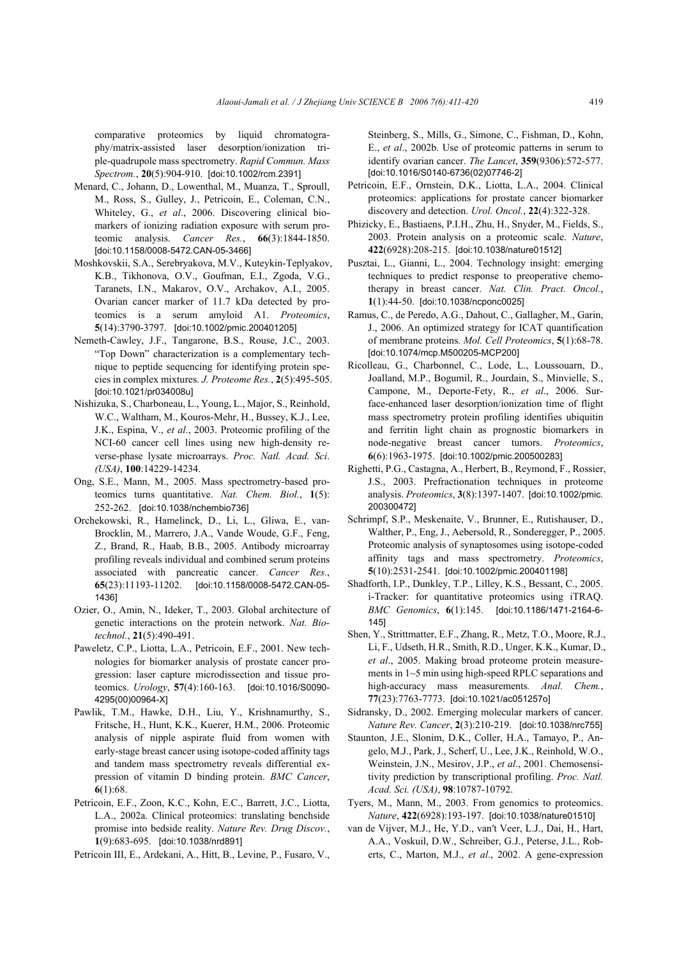comparative proteomics by liquid chromatography/matrix-assisted laser desorption/ionization triple-quadrupole mass spectrometry. *Rapid Commun. Mass Spectrom.*, **20**(5):904-910. [doi:10.1002/rcm.2391]

- Menard, C., Johann, D., Lowenthal, M., Muanza, T., Sproull, M., Ross, S., Gulley, J., Petricoin, E., Coleman, C.N., Whiteley, G., *et al*., 2006. Discovering clinical biomarkers of ionizing radiation exposure with serum proteomic analysis. *Cancer Res.*, **66**(3):1844-1850. [doi:10.1158/0008-5472.CAN-05-3466]
- Moshkovskii, S.A., Serebryakova, M.V., Kuteykin-Teplyakov, K.B., Tikhonova, O.V., Goufman, E.I., Zgoda, V.G., Taranets, I.N., Makarov, O.V., Archakov, A.I., 2005. Ovarian cancer marker of 11.7 kDa detected by proteomics is a serum amyloid A1. *Proteomics*, **5**(14):3790-3797. [doi:10.1002/pmic.200401205]
- Nemeth-Cawley, J.F., Tangarone, B.S., Rouse, J.C., 2003. "Top Down" characterization is a complementary technique to peptide sequencing for identifying protein species in complex mixtures. *J. Proteome Res.*, **2**(5):495-505. [doi:10.1021/pr034008u]
- Nishizuka, S., Charboneau, L., Young, L., Major, S., Reinhold, W.C., Waltham, M., Kouros-Mehr, H., Bussey, K.J., Lee, J.K., Espina, V., *et al*., 2003. Proteomic profiling of the NCI-60 cancer cell lines using new high-density reverse-phase lysate microarrays. *Proc. Natl. Acad. Sci*. *(USA)*, **100**:14229-14234.
- Ong, S.E., Mann, M., 2005. Mass spectrometry-based proteomics turns quantitative. *Nat. Chem. Biol.*, **1**(5): 252-262. [doi:10.1038/nchembio736]
- Orchekowski, R., Hamelinck, D., Li, L., Gliwa, E., van-Brocklin, M., Marrero, J.A., Vande Woude, G.F., Feng, Z., Brand, R., Haab, B.B., 2005. Antibody microarray profiling reveals individual and combined serum proteins associated with pancreatic cancer. *Cancer Res.*, **65**(23):11193-11202. [doi:10.1158/0008-5472.CAN-05- 1436]
- Ozier, O., Amin, N., Ideker, T., 2003. Global architecture of genetic interactions on the protein network. *Nat. Biotechnol.*, **21**(5):490-491.
- Paweletz, C.P., Liotta, L.A., Petricoin, E.F., 2001. New technologies for biomarker analysis of prostate cancer progression: laser capture microdissection and tissue proteomics. *Urology*, **57**(4):160-163. [doi:10.1016/S0090- 4295(00)00964-X]
- Pawlik, T.M., Hawke, D.H., Liu, Y., Krishnamurthy, S., Fritsche, H., Hunt, K.K., Kuerer, H.M., 2006. Proteomic analysis of nipple aspirate fluid from women with early-stage breast cancer using isotope-coded affinity tags and tandem mass spectrometry reveals differential expression of vitamin D binding protein. *BMC Cancer*, **6**(1):68.
- Petricoin, E.F., Zoon, K.C., Kohn, E.C., Barrett, J.C., Liotta, L.A., 2002a. Clinical proteomics: translating benchside promise into bedside reality. *Nature Rev. Drug Discov.*, **1**(9):683-695. [doi:10.1038/nrd891]

Petricoin III, E., Ardekani, A., Hitt, B., Levine, P., Fusaro, V.,

Steinberg, S., Mills, G., Simone, C., Fishman, D., Kohn, E., *et al*., 2002b. Use of proteomic patterns in serum to identify ovarian cancer. *The Lancet*, **359**(9306):572-577. [doi:10.1016/S0140-6736(02)07746-2]

- Petricoin, E.F., Ornstein, D.K., Liotta, L.A., 2004. Clinical proteomics: applications for prostate cancer biomarker discovery and detection. *Urol. Oncol.*, **22**(4):322-328.
- Phizicky, E., Bastiaens, P.I.H., Zhu, H., Snyder, M., Fields, S., 2003. Protein analysis on a proteomic scale. *Nature*, **422**(6928):208-215. [doi:10.1038/nature01512]
- Pusztai, L., Gianni, L., 2004. Technology insight: emerging techniques to predict response to preoperative chemotherapy in breast cancer. *Nat. Clin. Pract. Oncol.*, **1**(1):44-50. [doi:10.1038/ncponc0025]
- Ramus, C., de Peredo, A.G., Dahout, C., Gallagher, M., Garin, J., 2006. An optimized strategy for ICAT quantification of membrane proteins. *Mol. Cell Proteomics*, **5**(1):68-78. [doi:10.1074/mcp.M500205-MCP200]
- Ricolleau, G., Charbonnel, C., Lode, L., Loussouarn, D., Joalland, M.P., Bogumil, R., Jourdain, S., Minvielle, S., Campone, M., Deporte-Fety, R., *et al*., 2006. Surface-enhanced laser desorption/ionization time of flight mass spectrometry protein profiling identifies ubiquitin and ferritin light chain as prognostic biomarkers in node-negative breast cancer tumors. *Proteomics*, **6**(6):1963-1975. [doi:10.1002/pmic.200500283]
- Righetti, P.G., Castagna, A., Herbert, B., Reymond, F., Rossier, J.S., 2003. Prefractionation techniques in proteome analysis. *Proteomics*, **3**(8):1397-1407. [doi:10.1002/pmic. 200300472]
- Schrimpf, S.P., Meskenaite, V., Brunner, E., Rutishauser, D., Walther, P., Eng, J., Aebersold, R., Sonderegger, P., 2005. Proteomic analysis of synaptosomes using isotope-coded affinity tags and mass spectrometry. *Proteomics*, **5**(10):2531-2541. [doi:10.1002/pmic.200401198]
- Shadforth, I.P., Dunkley, T.P., Lilley, K.S., Bessant, C., 2005. i-Tracker: for quantitative proteomics using iTRAQ. *BMC Genomics*, **6**(1):145. [doi:10.1186/1471-2164-6- 145]
- Shen, Y., Strittmatter, E.F., Zhang, R., Metz, T.O., Moore, R.J., Li, F., Udseth, H.R., Smith, R.D., Unger, K.K., Kumar, D., *et al*., 2005. Making broad proteome protein measurements in 1~5 min using high-speed RPLC separations and high-accuracy mass measurements*. Anal. Chem.*, **77**(23):7763-7773. [doi:10.1021/ac051257o]
- Sidransky, D., 2002. Emerging molecular markers of cancer. *Nature Rev. Cancer*, **2**(3):210-219. [doi:10.1038/nrc755]
- Staunton, J.E., Slonim, D.K., Coller, H.A., Tamayo, P., Angelo, M.J., Park, J., Scherf, U., Lee, J.K., Reinhold, W.O., Weinstein, J.N., Mesirov, J.P., *et al*., 2001. Chemosensitivity prediction by transcriptional profiling. *Proc. Natl. Acad. Sci. (USA)*, **98**:10787-10792.
- Tyers, M., Mann, M., 2003. From genomics to proteomics. *Nature*, **422**(6928):193-197. [doi:10.1038/nature01510]
- van de Vijver, M.J., He, Y.D., van′t Veer, L.J., Dai, H., Hart, A.A., Voskuil, D.W., Schreiber, G.J., Peterse, J.L., Roberts, C., Marton, M.J., *et al*., 2002. A gene-expression